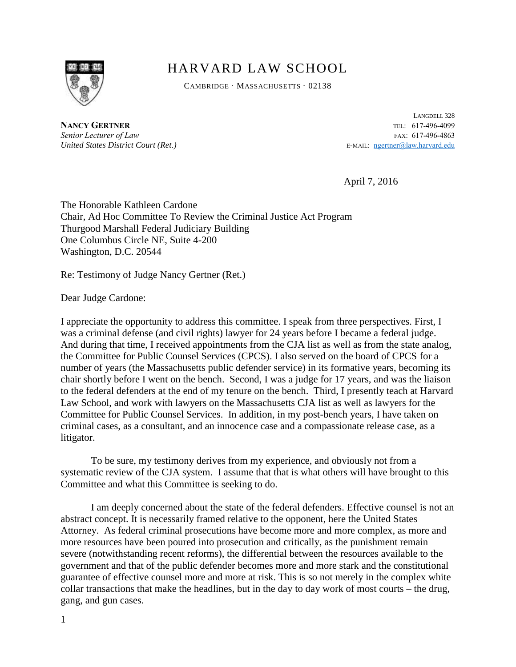

## HARVARD LAW SCHOOL

CAMBRIDGE · MASSACHUSETTS · 02138

**NANCY GERTNER** TEL: 617-496-4099 **Senior Lecturer of Law** FAX: 617-496-4863 *United States District Court (Ret.)* E-MAIL: [ngertner@law.harvard.edu](mailto:ngertner@law.harvard.edu)

LANGDELL 328

April 7, 2016

The Honorable Kathleen Cardone Chair, Ad Hoc Committee To Review the Criminal Justice Act Program Thurgood Marshall Federal Judiciary Building One Columbus Circle NE, Suite 4-200 Washington, D.C. 20544

Re: Testimony of Judge Nancy Gertner (Ret.)

Dear Judge Cardone:

I appreciate the opportunity to address this committee. I speak from three perspectives. First, I was a criminal defense (and civil rights) lawyer for 24 years before I became a federal judge. And during that time, I received appointments from the CJA list as well as from the state analog, the Committee for Public Counsel Services (CPCS). I also served on the board of CPCS for a number of years (the Massachusetts public defender service) in its formative years, becoming its chair shortly before I went on the bench. Second, I was a judge for 17 years, and was the liaison to the federal defenders at the end of my tenure on the bench. Third, I presently teach at Harvard Law School, and work with lawyers on the Massachusetts CJA list as well as lawyers for the Committee for Public Counsel Services. In addition, in my post-bench years, I have taken on criminal cases, as a consultant, and an innocence case and a compassionate release case, as a litigator.

To be sure, my testimony derives from my experience, and obviously not from a systematic review of the CJA system. I assume that that is what others will have brought to this Committee and what this Committee is seeking to do.

I am deeply concerned about the state of the federal defenders. Effective counsel is not an abstract concept. It is necessarily framed relative to the opponent, here the United States Attorney. As federal criminal prosecutions have become more and more complex, as more and more resources have been poured into prosecution and critically, as the punishment remain severe (notwithstanding recent reforms), the differential between the resources available to the government and that of the public defender becomes more and more stark and the constitutional guarantee of effective counsel more and more at risk. This is so not merely in the complex white collar transactions that make the headlines, but in the day to day work of most courts – the drug, gang, and gun cases.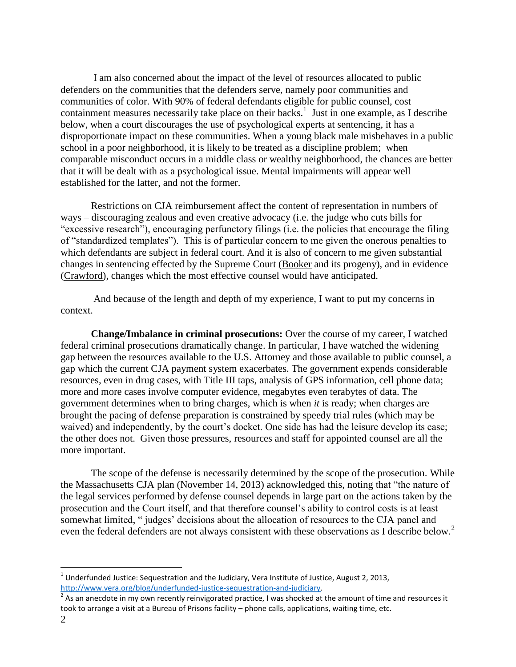I am also concerned about the impact of the level of resources allocated to public defenders on the communities that the defenders serve, namely poor communities and communities of color. With 90% of federal defendants eligible for public counsel, cost containment measures necessarily take place on their backs.<sup>1</sup> Just in one example, as I describe below, when a court discourages the use of psychological experts at sentencing, it has a disproportionate impact on these communities. When a young black male misbehaves in a public school in a poor neighborhood, it is likely to be treated as a discipline problem; when comparable misconduct occurs in a middle class or wealthy neighborhood, the chances are better that it will be dealt with as a psychological issue. Mental impairments will appear well established for the latter, and not the former.

Restrictions on CJA reimbursement affect the content of representation in numbers of ways – discouraging zealous and even creative advocacy (i.e. the judge who cuts bills for "excessive research"), encouraging perfunctory filings (i.e. the policies that encourage the filing of "standardized templates"). This is of particular concern to me given the onerous penalties to which defendants are subject in federal court. And it is also of concern to me given substantial changes in sentencing effected by the Supreme Court (Booker and its progeny), and in evidence (Crawford), changes which the most effective counsel would have anticipated.

And because of the length and depth of my experience, I want to put my concerns in context.

**Change/Imbalance in criminal prosecutions:** Over the course of my career, I watched federal criminal prosecutions dramatically change. In particular, I have watched the widening gap between the resources available to the U.S. Attorney and those available to public counsel, a gap which the current CJA payment system exacerbates. The government expends considerable resources, even in drug cases, with Title III taps, analysis of GPS information, cell phone data; more and more cases involve computer evidence, megabytes even terabytes of data. The government determines when to bring charges, which is when *it* is ready; when charges are brought the pacing of defense preparation is constrained by speedy trial rules (which may be waived) and independently, by the court's docket. One side has had the leisure develop its case; the other does not. Given those pressures, resources and staff for appointed counsel are all the more important.

The scope of the defense is necessarily determined by the scope of the prosecution. While the Massachusetts CJA plan (November 14, 2013) acknowledged this, noting that "the nature of the legal services performed by defense counsel depends in large part on the actions taken by the prosecution and the Court itself, and that therefore counsel's ability to control costs is at least somewhat limited, " judges' decisions about the allocation of resources to the CJA panel and even the federal defenders are not always consistent with these observations as I describe below.<sup>2</sup>

 $\overline{a}$ 

 $^{1}$  Underfunded Justice: Sequestration and the Judiciary, Vera Institute of Justice, August 2, 2013, [http://www.vera.org/blog/underfunded-justice-sequestration-and-judiciary.](http://www.vera.org/blog/underfunded-justice-sequestration-and-judiciary) 

<sup>&</sup>lt;sup>2</sup> As an anecdote in my own recently reinvigorated practice, I was shocked at the amount of time and resources it took to arrange a visit at a Bureau of Prisons facility – phone calls, applications, waiting time, etc.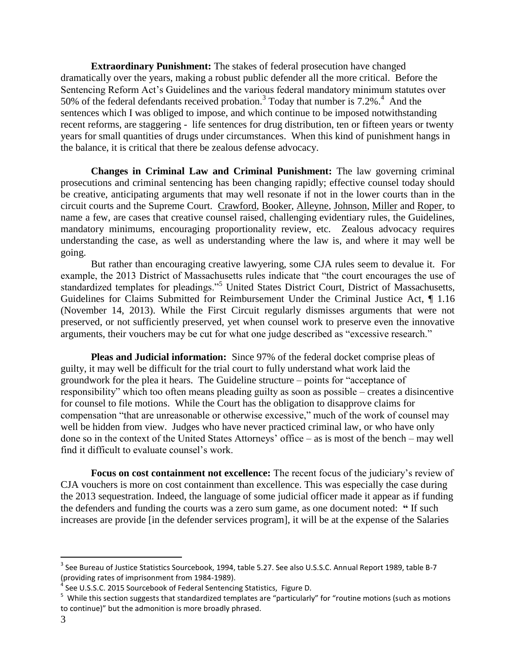**Extraordinary Punishment:** The stakes of federal prosecution have changed dramatically over the years, making a robust public defender all the more critical. Before the Sentencing Reform Act's Guidelines and the various federal mandatory minimum statutes over 50% of the federal defendants received probation.<sup>3</sup> Today that number is 7.2%.<sup>4</sup> And the sentences which I was obliged to impose, and which continue to be imposed notwithstanding recent reforms, are staggering - life sentences for drug distribution, ten or fifteen years or twenty years for small quantities of drugs under circumstances. When this kind of punishment hangs in the balance, it is critical that there be zealous defense advocacy.

**Changes in Criminal Law and Criminal Punishment:** The law governing criminal prosecutions and criminal sentencing has been changing rapidly; effective counsel today should be creative, anticipating arguments that may well resonate if not in the lower courts than in the circuit courts and the Supreme Court. Crawford, Booker, Alleyne, Johnson, Miller and Roper, to name a few, are cases that creative counsel raised, challenging evidentiary rules, the Guidelines, mandatory minimums, encouraging proportionality review, etc. Zealous advocacy requires understanding the case, as well as understanding where the law is, and where it may well be going.

But rather than encouraging creative lawyering, some CJA rules seem to devalue it. For example, the 2013 District of Massachusetts rules indicate that "the court encourages the use of standardized templates for pleadings."<sup>5</sup> United States District Court, District of Massachusetts, Guidelines for Claims Submitted for Reimbursement Under the Criminal Justice Act, ¶ 1.16 (November 14, 2013). While the First Circuit regularly dismisses arguments that were not preserved, or not sufficiently preserved, yet when counsel work to preserve even the innovative arguments, their vouchers may be cut for what one judge described as "excessive research."

**Pleas and Judicial information:** Since 97% of the federal docket comprise pleas of guilty, it may well be difficult for the trial court to fully understand what work laid the groundwork for the plea it hears. The Guideline structure – points for "acceptance of responsibility" which too often means pleading guilty as soon as possible – creates a disincentive for counsel to file motions. While the Court has the obligation to disapprove claims for compensation "that are unreasonable or otherwise excessive," much of the work of counsel may well be hidden from view. Judges who have never practiced criminal law, or who have only done so in the context of the United States Attorneys' office – as is most of the bench – may well find it difficult to evaluate counsel's work.

**Focus on cost containment not excellence:** The recent focus of the judiciary's review of CJA vouchers is more on cost containment than excellence. This was especially the case during the 2013 sequestration. Indeed, the language of some judicial officer made it appear as if funding the defenders and funding the courts was a zero sum game, as one document noted: **"** If such increases are provide [in the defender services program], it will be at the expense of the Salaries

 $\overline{a}$ 

<sup>&</sup>lt;sup>3</sup> See Bureau of Justice Statistics Sourcebook, 1994, table 5.27. See also U.S.S.C. Annual Report 1989, table B-7 (providing rates of imprisonment from 1984-1989).<br><sup>4</sup> See U.S.S.C. 2015 Sourcebook of Eaderal Sentencia

See U.S.S.C. 2015 Sourcebook of Federal Sentencing Statistics, Figure D.

<sup>&</sup>lt;sup>5</sup> While this section suggests that standardized templates are "particularly" for "routine motions (such as motions to continue)" but the admonition is more broadly phrased.